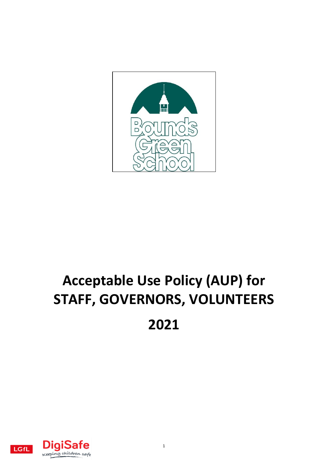

# **Acceptable Use Policy (AUP) for STAFF, GOVERNORS, VOLUNTEERS 2021**

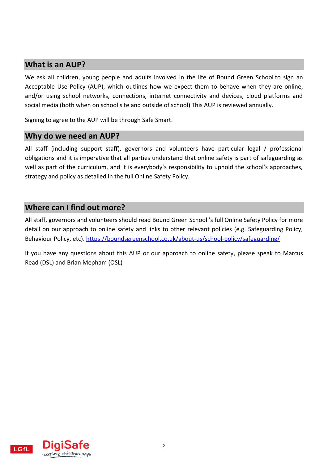#### **What is an AUP?**

We ask all children, young people and adults involved in the life of Bound Green School to sign an Acceptable Use Policy (AUP), which outlines how we expect them to behave when they are online, and/or using school networks, connections, internet connectivity and devices, cloud platforms and social media (both when on school site and outside of school) This AUP is reviewed annually.

Signing to agree to the AUP will be through Safe Smart.

#### **Why do we need an AUP?**

All staff (including support staff), governors and volunteers have particular legal / professional obligations and it is imperative that all parties understand that online safety is part of safeguarding as well as part of the curriculum, and it is everybody's responsibility to uphold the school's approaches, strategy and policy as detailed in the full Online Safety Policy.

#### **Where can I find out more?**

All staff, governors and volunteers should read Bound Green School 's full Online Safety Policy for more detail on our approach to online safety and links to other relevant policies (e.g. Safeguarding Policy, Behaviour Policy, etc). <https://boundsgreenschool.co.uk/about-us/school-policy/safeguarding/>

If you have any questions about this AUP or our approach to online safety, please speak to Marcus Read (DSL) and Brian Mepham (OSL)

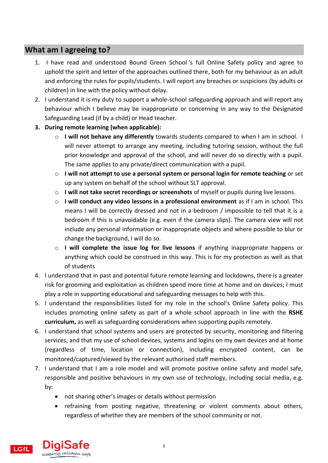### **What am I agreeing to?**

- 1. I have read and understood Bound Green School 's full Online Safety policy and agree to uphold the spirit and letter of the approaches outlined there, both for my behaviour as an adult and enforcing the rules for pupils/students. I will report any breaches or suspicions (by adults or children) in line with the policy without delay.
- 2. I understand it is my duty to support a whole-school safeguarding approach and will report any behaviour which I believe may be inappropriate or concerning in any way to the Designated Safeguarding Lead (if by a child) or Head teacher.
- **3. During remote learning (when applicable):** 
	- o **I will not behave any differently** towards students compared to when I am in school. I will never attempt to arrange any meeting, including tutoring session, without the full prior knowledge and approval of the school, and will never do so directly with a pupil. The same applies to any private/direct communication with a pupil.
	- o **I will not attempt to use a personal system or personal login for remote teaching** or set up any system on behalf of the school without SLT approval.
	- o **I will not take secret recordings or screenshots** of myself or pupils during live lessons.
	- o **I will conduct any video lessons in a professional environment** as if I am in school. This means I will be correctly dressed and not in a bedroom / impossible to tell that it is a bedroom if this is unavoidable (e.g. even if the camera slips). The camera view will not include any personal information or inappropriate objects and where possible to blur or change the background, I will do so.
	- o **I will complete the issue log for live lessons** if anything inappropriate happens or anything which could be construed in this way. This is for my protection as well as that of students
- 4. I understand that in past and potential future remote learning and lockdowns, there is a greater risk for grooming and exploitation as children spend more time at home and on devices; I must play a role in supporting educational and safeguarding messages to help with this.
- 5. I understand the responsibilities listed for my role in the school's Online Safety policy. This includes promoting online safety as part of a whole school approach in line with the **RSHE curriculum,** as well as safeguarding considerations when supporting pupils remotely.
- 6. I understand that school systems and users are protected by security, monitoring and filtering services, and that my use of school devices, systems and logins on my own devices and at home (regardless of time, location or connection), including encrypted content, can be monitored/captured/viewed by the relevant authorised staff members.
- 7. I understand that I am a role model and will promote positive online safety and model safe, responsible and positive behaviours in my own use of technology, including social media, e.g. by:
	- not sharing other's images or details without permission
	- refraining from posting negative, threatening or violent comments about others, regardless of whether they are members of the school community or not.

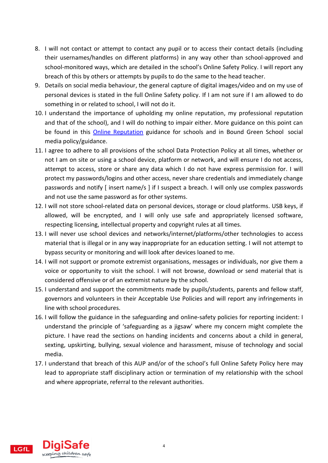- 8. I will not contact or attempt to contact any pupil or to access their contact details (including their usernames/handles on different platforms) in any way other than school-approved and school-monitored ways, which are detailed in the school's Online Safety Policy. I will report any breach of this by others or attempts by pupils to do the same to the head teacher.
- 9. Details on social media behaviour, the general capture of digital images/video and on my use of personal devices is stated in the full Online Safety policy. If I am not sure if I am allowed to do something in or related to school, I will not do it.
- 10. I understand the importance of upholding my online reputation, my professional reputation and that of the school), and I will do nothing to impair either. More guidance on this point can be found in this [Online Reputation](http://onlinerep.lgfl.net/) guidance for schools and in Bound Green School social media policy/guidance.
- 11. I agree to adhere to all provisions of the school Data Protection Policy at all times, whether or not I am on site or using a school device, platform or network, and will ensure I do not access, attempt to access, store or share any data which I do not have express permission for. I will protect my passwords/logins and other access, never share credentials and immediately change passwords and notify [ insert name/s ] if I suspect a breach. I will only use complex passwords and not use the same password as for other systems.
- 12. I will not store school-related data on personal devices, storage or cloud platforms. USB keys, if allowed, will be encrypted, and I will only use safe and appropriately licensed software, respecting licensing, intellectual property and copyright rules at all times.
- 13. I will never use school devices and networks/internet/platforms/other technologies to access material that is illegal or in any way inappropriate for an education setting. I will not attempt to bypass security or monitoring and will look after devices loaned to me.
- 14. I will not support or promote extremist organisations, messages or individuals, nor give them a voice or opportunity to visit the school. I will not browse, download or send material that is considered offensive or of an extremist nature by the school.
- 15. I understand and support the commitments made by pupils/students, parents and fellow staff, governors and volunteers in their Acceptable Use Policies and will report any infringements in line with school procedures.
- 16. I will follow the guidance in the safeguarding and online-safety policies for reporting incident: I understand the principle of 'safeguarding as a jigsaw' where my concern might complete the picture. I have read the sections on handing incidents and concerns about a child in general, sexting, upskirting, bullying, sexual violence and harassment, misuse of technology and social media.
- 17. I understand that breach of this AUP and/or of the school's full Online Safety Policy here may lead to appropriate staff disciplinary action or termination of my relationship with the school and where appropriate, referral to the relevant authorities.